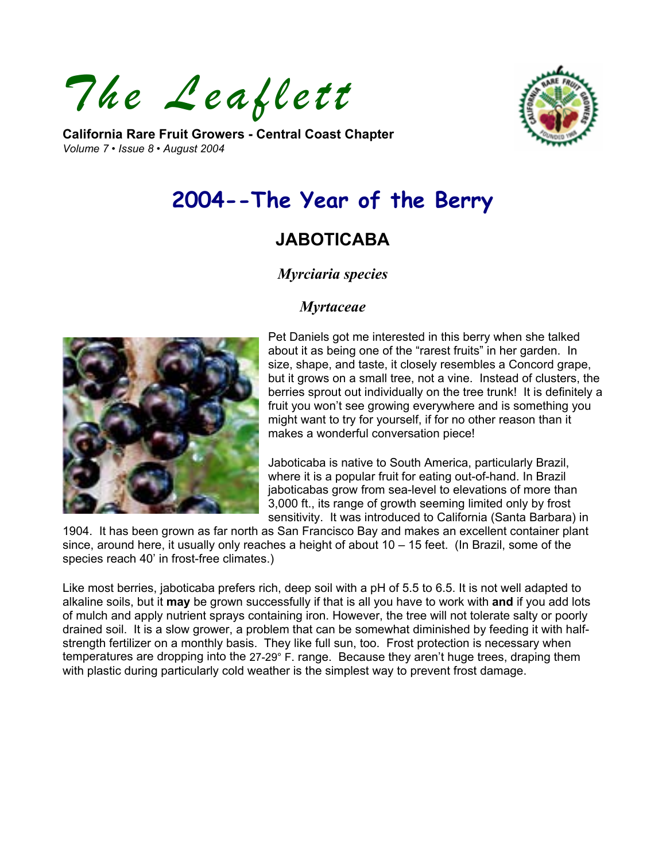*The Leaflett* 

**California Rare Fruit Growers - Central Coast Chapter**  *Volume 7 • Issue 8 • August 2004* 



# **2004--The Year of the Berry**

## **JABOTICABA**

## *Myrciaria species*

#### *Myrtaceae*



Pet Daniels got me interested in this berry when she talked about it as being one of the "rarest fruits" in her garden. In size, shape, and taste, it closely resembles a Concord grape, but it grows on a small tree, not a vine. Instead of clusters, the berries sprout out individually on the tree trunk! It is definitely a fruit you won't see growing everywhere and is something you might want to try for yourself, if for no other reason than it makes a wonderful conversation piece!

Jaboticaba is native to South America, particularly Brazil, where it is a popular fruit for eating out-of-hand. In Brazil jaboticabas grow from sea-level to elevations of more than 3,000 ft., its range of growth seeming limited only by frost sensitivity. It was introduced to California (Santa Barbara) in

1904. It has been grown as far north as San Francisco Bay and makes an excellent container plant since, around here, it usually only reaches a height of about 10 – 15 feet. (In Brazil, some of the species reach 40' in frost-free climates.)

Like most berries, jaboticaba prefers rich, deep soil with a pH of 5.5 to 6.5. It is not well adapted to alkaline soils, but it **may** be grown successfully if that is all you have to work with **and** if you add lots of mulch and apply nutrient sprays containing iron. However, the tree will not tolerate salty or poorly drained soil. It is a slow grower, a problem that can be somewhat diminished by feeding it with halfstrength fertilizer on a monthly basis. They like full sun, too. Frost protection is necessary when temperatures are dropping into the 27-29° F. range. Because they aren't huge trees, draping them with plastic during particularly cold weather is the simplest way to prevent frost damage.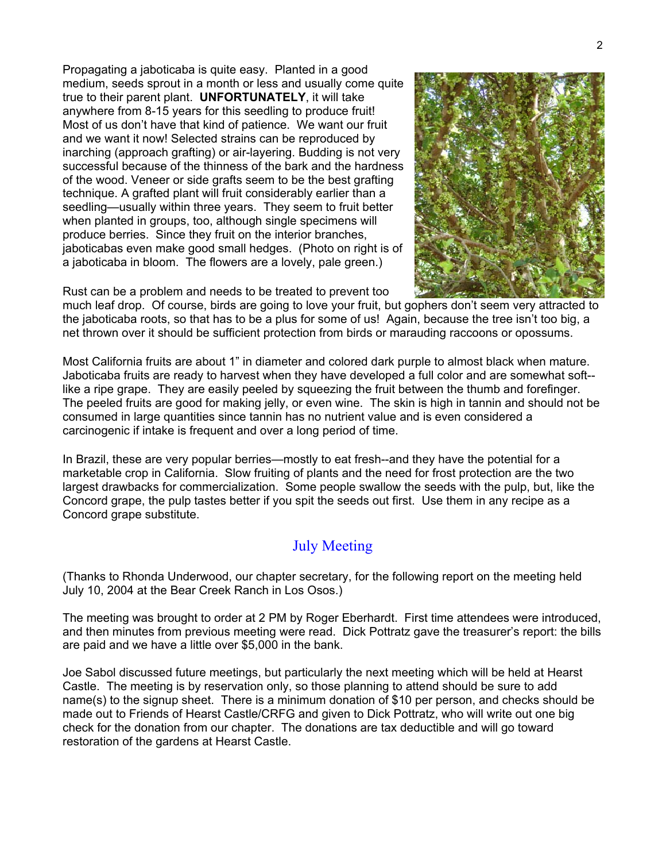Propagating a jaboticaba is quite easy. Planted in a good medium, seeds sprout in a month or less and usually come q uite true to their parent plant. **UNFORTUNATELY**, it will take anywhere from 8-15 years for this seedling to produce fruit! Most of us don't have that kind of patience. We want our fruit and we want it now! Selected strains can be reproduced by inarching (approach grafting) or air-layering. Budding is not very successful because of the thinness of the bark and the h ardness of the wood. Veneer or side grafts seem to be the best grafting technique. A grafted plant will fruit considerably earlier than a seedling—usually within three years. They seem to fruit better when planted in groups, too, although single specimens will produce berries. Since they fruit on the interior branches, jaboticabas even make good small hedges. (Photo on right is of a jaboticaba in bloom. The flowers are a lovely, pale green.)



Rust can be a problem and needs to be treated to prevent too

much leaf drop. Of course, birds are going to love your fruit, but gophers don't seem very attracted to the jaboticaba roots, so that has to be a plus for some of us! Again, because the tree isn't too big, a net thrown over it should be sufficient protection from birds or marauding raccoons or opossums.

Most California fruits are about 1" in diameter and colored dark purple to almost black when mature. Jaboticaba fruits are ready to harvest when they have developed a full color and are somewhat soft- like a ripe grape. They are easily peeled by squeezing the fruit between the thumb and forefinger. The peeled fruits are good for making jelly, or even wine. The skin is high in tannin and should not be consumed in large quantities since tannin has no nutrient value and is even considered a carcinogenic if intake is frequent and over a long period of time.

In Brazil, these are very popular berries—mostly to eat fresh--and they have the potential for a marketable crop in California. Slow fruiting of plants and the need for frost protection are the two largest drawbacks for commercialization. Some people swallow the seeds with the pulp, but, like the Concord grape, the pulp tastes better if you spit the seeds out first. Use them in any recipe as a Concord grape substitute.

## July Meeting

(Thanks to Rhonda Underwood, our chapter secretary, for the following report on the meeting held July 10, 2004 at the Bear Creek Ranch in Los Osos.)

The meeting was brought to order at 2 PM by Roger Eberhardt. First time attendees were introduced, and then minutes from previous meeting were read. Dick Pottratz gave the treasurer's report: the bills are paid and we have a little over \$5,000 in the bank.

Joe Sabol discussed future meetings, but particularly the next meeting which will be held at Hearst Castle. The meeting is by reservation only, so those planning to attend should be sure to add name(s) to the signup sheet. There is a minimum donation of \$10 per person, and checks should be made out to Friends of Hearst Castle/CRFG and given to Dick Pottratz, who will write out one big check for the donation from our chapter. The donations are tax deductible and will go toward restoration of the gardens at Hearst Castle.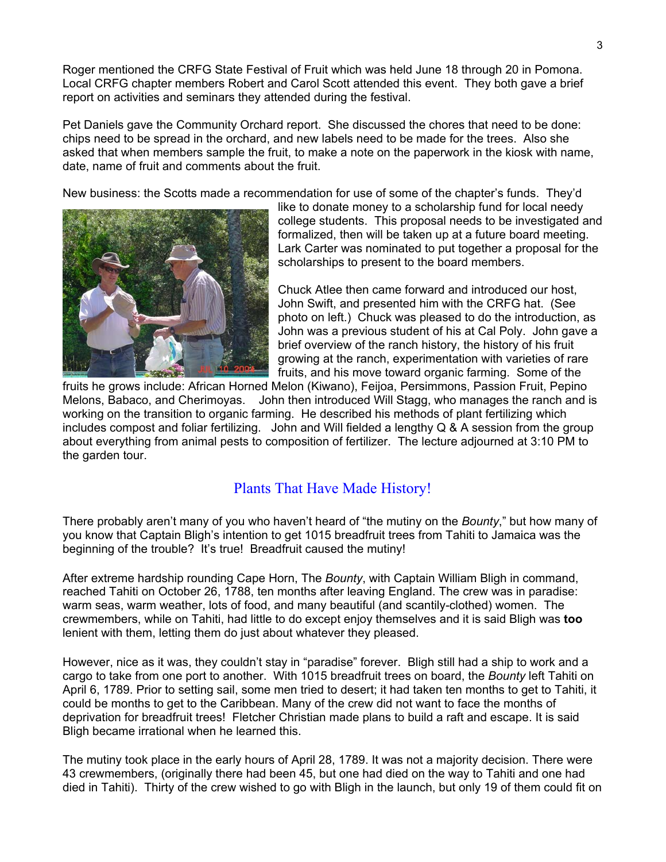Roger mentioned the CRFG State Festival of Fruit which was held June 18 through 20 in Pomona. Local CRFG chapter members Robert and Carol Scott attended this event. They both gave a brief report on activities and seminars they attended during the festival.

Pet Daniels gave the Community Orchard report. She discussed the chores that need to be done: chips need to be spread in the orchard, and new labels need to be made for the trees. Also she asked that when members sample the fruit, to make a note on the paperwork in the kiosk with name, date, name of fruit and comments about the fruit.

New business: the Scotts made a recommendation for use of some of the chapter's funds. They'd



like to donate money to a scholarship fund for local needy college students. This proposal needs to be investigated a nd formalized, then will be taken up at a future board meet ing. Lark Carter was nominated to put together a proposal fo r the scholarships to present to the board members.

Chuck Atlee then came forward and introduced our host, photo on left.) Chuck was pleased to do the introduction, as growing at the ranch, experimentation with varieties of rare John Swift, and presented him with the CRFG hat. (See John was a previous student of his at Cal Poly. John gave a brief overview of the ranch history, the history of his fruit fruits, and his move toward organic farming. Some of the

fruits he grows include: African Horned Melon (Kiwano), Feijoa, Persimmons, Passion Fruit, Pepino Melons, Babaco, and Cherimoyas. John then introduced Will Stagg, who manages the ranch and is working on the transition to organic farming. He described his methods of plant fertilizing which includes compost and foliar fertilizing. John and Will fielded a lengthy Q & A session from the group about everything from animal pests to composition of fertilizer. The lecture adjourned at 3:10 PM to the garden tour.

## Plants That Have Made History!

There probably aren't many of you who haven't heard of "the mutiny on the *Bounty*," but how many of you know that Captain Bligh's intention to get 1015 breadfruit trees from Tahiti to Jamaica was the beginning of the trouble? It's true! Breadfruit caused the mutiny!

After extreme hardship rounding Cape Horn, The *Bounty*, with Captain William Bligh in command, reached Tahiti on October 26, 1788, ten months after leaving England. The crew was in paradise: warm seas, warm weather, lots of food, and many beautiful (and scantily-clothed) women. The crewmembers, while on Tahiti, had little to do except enjoy themselves and it is said Bligh was **too** lenient with them, letting them do just about whatever they pleased.

However, nice as it was, they couldn't stay in "paradise" forever. Bligh still had a ship to work and a cargo to take from one port to another. With 1015 breadfruit trees on board, the *Bounty* left Tahiti on April 6, 1789. Prior to setting sail, some men tried to desert; it had taken ten months to get to Tahiti, it could be months to get to the Caribbean. Many of the crew did not want to face the months of deprivation for breadfruit trees! Fletcher Christian made plans to build a raft and escape. It is said Bligh became irrational when he learned this.

The mutiny took place in the early hours of April 28, 1789. It was not a majority decision. There were 43 crewmembers, (originally there had been 45, but one had died on the way to Tahiti and one had died in Tahiti). Thirty of the crew wished to go with Bligh in the launch, but only 19 of them could fit on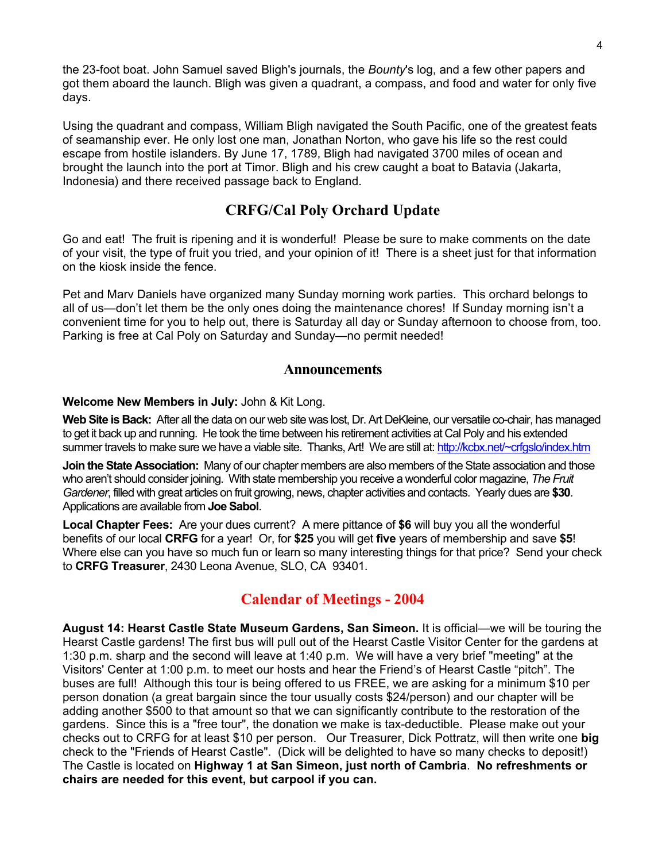the 23-foot boat. John Samuel saved Bligh's journals, the *Bounty*'s log, and a few other papers and got them aboard the launch. Bligh was given a quadrant, a compass, and food and water for only five days.

Using the quadrant and compass, William Bligh navigated the South Pacific, one of the greatest feats of seamanship ever. He only lost one man, Jonathan Norton, who gave his life so the rest could escape from hostile islanders. By June 17, 1789, Bligh had navigated 3700 miles of ocean and brought the launch into the port at Timor. Bligh and his crew caught a boat to Batavia (Jakarta, Indonesia) and there received passage back to England.

## **CRFG/Cal Poly Orchard Update**

Go and eat! The fruit is ripening and it is wonderful! Please be sure to make comments on the date of your visit, the type of fruit you tried, and your opinion of it! There is a sheet just for that information on the kiosk inside the fence.

Pet and Marv Daniels have organized many Sunday morning work parties. This orchard belongs to all of us—don't let them be the only ones doing the maintenance chores! If Sunday morning isn't a convenient time for you to help out, there is Saturday all day or Sunday afternoon to choose from, too. Parking is free at Cal Poly on Saturday and Sunday—no permit needed!

#### **Announcements**

#### **Welcome New Members in July:** John & Kit Long.

**Web Site is Back:** After all the data on our web site was lost, Dr. Art DeKleine, our versatile co-chair, has managed to get it back up and running. He took the time between his retirement activities at Cal Poly and his extended summer travels to make sure we have a viable site. Thanks, Art! We are still at:<http://kcbx.net/~crfgslo/index.htm>

**Join the State Association:** Many of our chapter members are also members of the State association and those who aren't should consider joining. With state membership you receive a wonderful color magazine, *The Fruit Gardener*, filled with great articles on fruit growing, news, chapter activities and contacts. Yearly dues are **\$30**. Applications are available from **Joe Sabol**.

**Local Chapter Fees:** Are your dues current?A mere pittance of **\$6** will buy you all the wonderful benefits of our local **CRFG** for a year! Or, for **\$25** you will get **five** years of membership and save **\$5**! Where else can you have so much fun or learn so many interesting things for that price? Send your check to **CRFG Treasurer**, 2430 Leona Avenue, SLO, CA 93401.

## **Calendar of Meetings - 2004**

**August 14: Hearst Castle State Museum Gardens, San Simeon.** It is official—we will be touring the Hearst Castle gardens! The first bus will pull out of the Hearst Castle Visitor Center for the gardens at 1:30 p.m. sharp and the second will leave at 1:40 p.m. We will have a very brief "meeting" at the Visitors' Center at 1:00 p.m. to meet our hosts and hear the Friend's of Hearst Castle "pitch". The buses are full! Although this tour is being offered to us FREE, we are asking for a minimum \$10 per person donation (a great bargain since the tour usually costs \$24/person) and our chapter will be adding another \$500 to that amount so that we can significantly contribute to the restoration of the gardens. Since this is a "free tour", the donation we make is tax-deductible. Please make out your checks out to CRFG for at least \$10 per person. Our Treasurer, Dick Pottratz, will then write one **big**  check to the "Friends of Hearst Castle". (Dick will be delighted to have so many checks to deposit!) The Castle is located on **Highway 1 at San Simeon, just north of Cambria**. **No refreshments or chairs are needed for this event, but carpool if you can.**